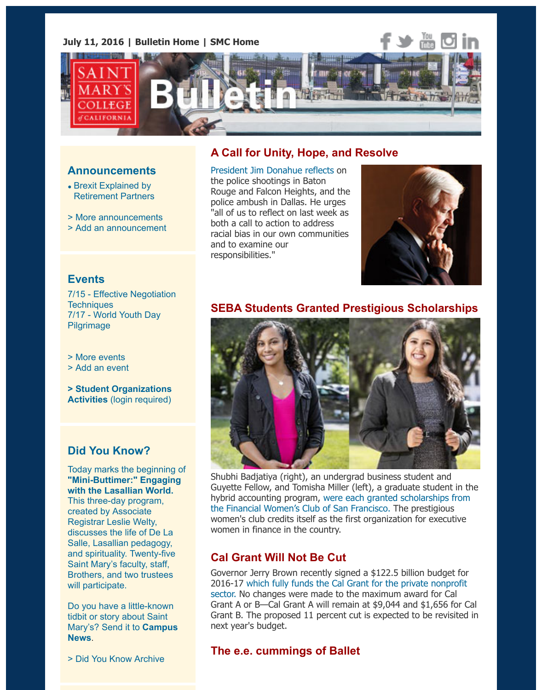

#### **Announcements**

- Brexit Explained by Retirement Partners
- > More announcements
- > Add an announcement

# **A Call for Unity, Hope, and Resolve**

President Jim Donahue reflects on the police shootings in Baton Rouge and Falcon Heights, and the police ambush in Dallas. He urges "all of us to reflect on last week as both a call to action to address racial bias in our own communities and to examine our [responsibilities."](https://www.stmarys-ca.edu/a-call-for-unity-hope-and-resolve?utm_source=Bulletin&utm_medium=email&utm_content=feature_test&utm_campaign=07-11-2016)



## **Events**

7[/15 - Effective Negoti](https://www.stmarys-ca.edu/brexit-explained-by-retirement-plan-partners?utm_source=Bulletin&utm_medium=email&utm_content=announcement_test&utm_campaign=07-11-2016)ation **Techniques** 7/17 [- World Youth Day](http://www.stmarys-ca.edu/smc-bulletin/announcements?utm_source=Bulletin&utm_medium=email&utm_content=announcement_test&utm_campaign=07-11-2016) [Pilgrimage](http://www.stmarys-ca.edu/node/add/announcement?utm_source=Bulletin&utm_medium=email&utm_content=announcement_test&utm_campaign=07-11-2016)

> More events

> Add an event

**[> Student Organizations](https://www.stmarys-ca.edu/dont-ask-dont-get-effective-negotiation-techniques?utm_source=Bulletin&utm_medium=email&utm_content=event_test&utm_campaign=07-11-2016) Activities** [\(login require](https://www.stmarys-ca.edu/world-youth-day-pilgrimage?utm_source=Bulletin&utm_medium=email&utm_content=event_test&utm_campaign=07-11-2016)d)

# **[Did You Kn](http://www.stmarys-ca.edu/events?utm_source=Bulletin&utm_medium=email&utm_content=event_test&utm_campaign=07-11-2016)ow?**

[Today marks the](http://www.stmarys-ca.edu/node/add/calendar-event?utm_source=Bulletin&utm_medium=email&utm_content=event_test&utm_campaign=07-11-2016) beginning of **"Mini-Buttimer:" Engaging [with the Lasallian World.](https://stmarys-ca-community.symplicity.com/)** This three-day program, created by Associate Registrar Leslie Welty, discusses the life of De La Salle, Lasallian pedagogy, and spirituality. Twenty-five Saint Mary's faculty, staff, [Brothers, and two trustees](https://www.stmarys-ca.edu/living-lasallian/engaging-with-the-lasallian-world-a-mini-buttimer-institute-for-smc?utm_source=Bulletin&utm_medium=email&utm_content=sidebar_test&utm_campaign=07-11-2016) will participate.

Do you have a little-known tidbit or story about Saint Mary's? Send it to **Campus News**.

> Did You Know Archive

# **SEBA Students Granted Prestigious Scholarshipsing**



Shubhi Badjatiya (right), an undergrad business student and Guyette Fellow, and Tomisha Miller (left), a graduate student in hybrid accounting program, were each granted scholarships from the Financial Women's Club of San Francisco. The prestigious women's club credits itself as the first organization for executive women in finance in the country.

# **Cal Grant Will Not Be Cut**

Governor Jerry Brown recently signed a \$122.5 billion budget f 2016-17 which fully funds the Cal Grant for the private nonprof [sector. No changes were made to the maximum award for Cal](http://www.stmarys-ca.edu/female-business-students-granted-scholarships-from-prestigious-women%E2%80%99s-club?utm_source=Bulletin&utm_medium=email&utm_content=feature_test&utm_campaign=07-11-2016) Grant A or B-Cal Grant A will remain at \$9,044 and \$1,656 for Grant B. The proposed 11 percent cut is expected to be revisited in the proposed 11 percent cut is expected to be revisited in the matter. next year's budget.

# **The e.e. cummings of Ballet**